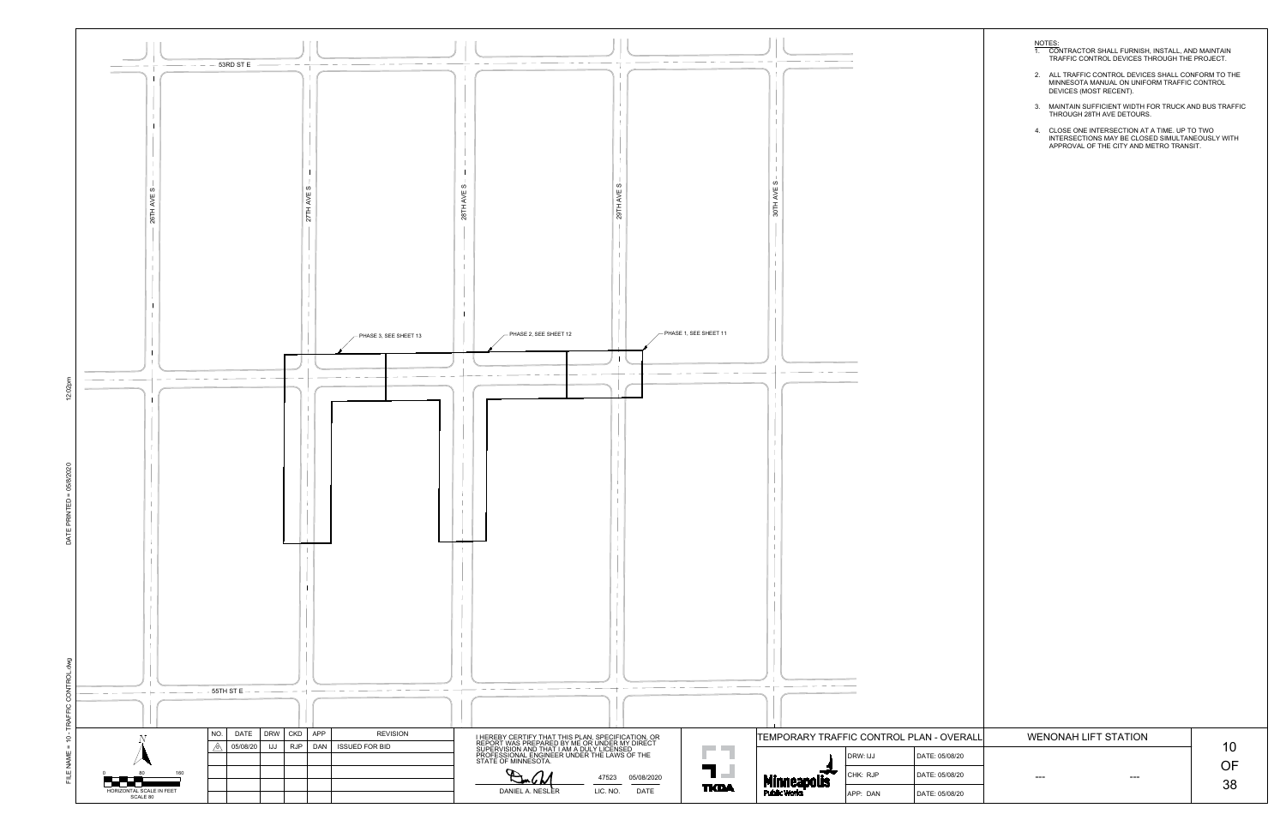

- 
- 
- 
- 

| OVERALL | <b>WENONAH LIFT STATION</b> | 1 <sub>0</sub> |
|---------|-----------------------------|----------------|
| 5/08/20 |                             |                |
|         |                             | NF             |
| 5/08/20 | ---<br>--                   |                |
|         |                             | 38             |
| 5/08/20 |                             |                |
|         |                             |                |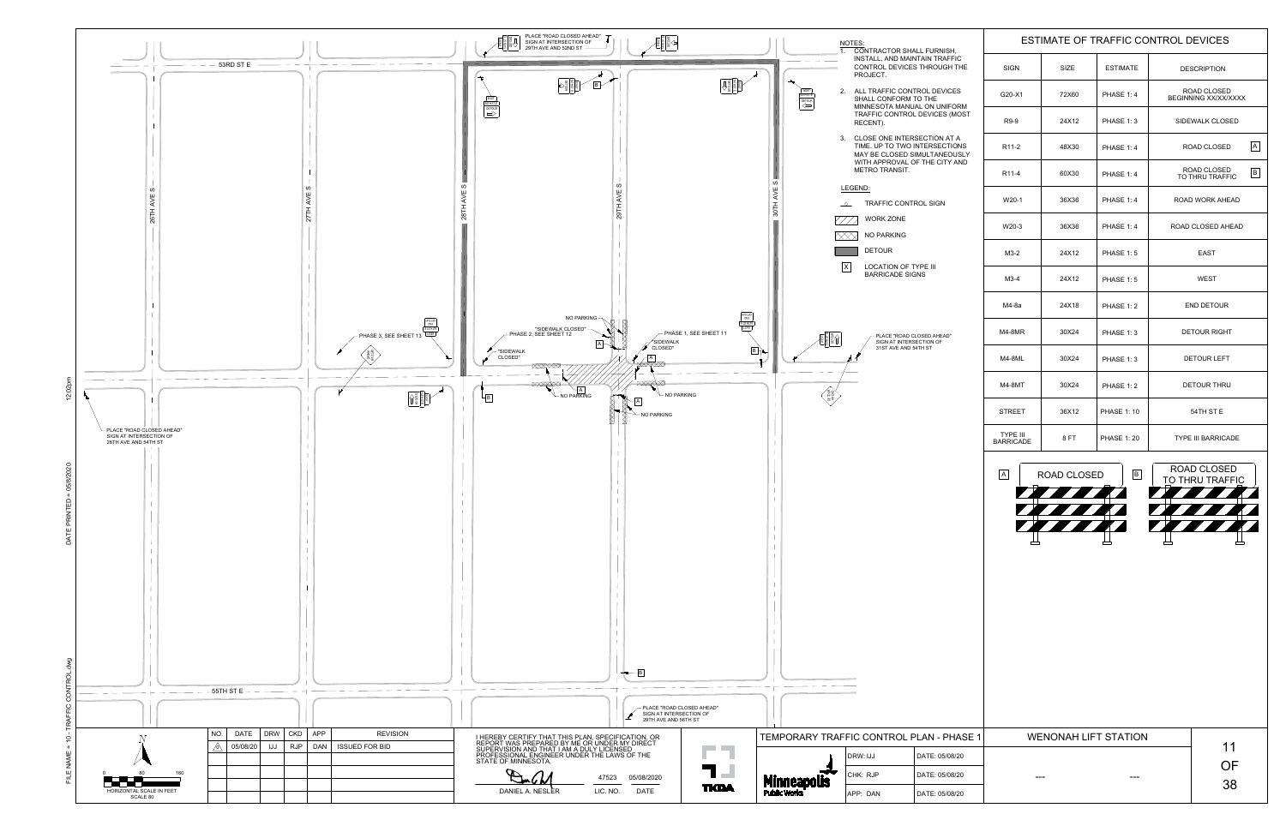

| ISH,                                                    |                                          | <b>ESTIMATE OF TRAFFIC CONTROL DEVICES</b>                          |                               |                                                                                                |  |  |
|---------------------------------------------------------|------------------------------------------|---------------------------------------------------------------------|-------------------------------|------------------------------------------------------------------------------------------------|--|--|
| <b>AFFIC</b><br><b>GH THE</b>                           | <b>SIGN</b>                              | <b>SIZE</b>                                                         | <b>ESTIMATE</b>               | <b>DESCRIPTION</b>                                                                             |  |  |
| <b>ICES</b><br><b>IIFORM</b>                            | G20-X1                                   | 72X60                                                               | <b>PHASE 1:4</b>              | <b>ROAD CLOSED</b><br><b>BEGINNING XX/XX/XXXX</b>                                              |  |  |
| S (MOST                                                 | R9-9                                     | 24X12                                                               | <b>PHASE 1:3</b>              | <b>SIDEWALK CLOSED</b>                                                                         |  |  |
| AT A<br><b>CTIONS</b><br><b>EOUSLY</b><br><b>TY AND</b> | R <sub>11</sub> -2                       | 48X30                                                               | <b>PHASE 1:4</b>              | $\mathsf{A}$<br><b>ROAD CLOSED</b>                                                             |  |  |
|                                                         | R <sub>11</sub> -4                       | 60X30                                                               | <b>PHASE 1:4</b>              | <b>ROAD CLOSED</b><br>$\, {\sf B} \,$<br>TO THRU TRAFFIC                                       |  |  |
|                                                         | $W20-1$                                  | 36X36                                                               | <b>PHASE 1:4</b>              | <b>ROAD WORK AHEAD</b>                                                                         |  |  |
|                                                         | W20-3                                    | 36X36                                                               | <b>PHASE 1:4</b>              | ROAD CLOSED AHEAD                                                                              |  |  |
|                                                         | $M3-2$                                   | 24X12                                                               | <b>PHASE 1:5</b>              | <b>EAST</b>                                                                                    |  |  |
|                                                         | $M3-4$                                   | 24X12                                                               | <b>PHASE 1:5</b>              | <b>WEST</b>                                                                                    |  |  |
|                                                         | $M4-8a$                                  | 24X18                                                               | <b>PHASE 1:2</b>              | <b>END DETOUR</b>                                                                              |  |  |
| AD"                                                     | M4-8MR                                   | 30X24                                                               | <b>PHASE 1:3</b>              | <b>DETOUR RIGHT</b>                                                                            |  |  |
|                                                         | <b>M4-8ML</b>                            | 30X24                                                               | <b>PHASE 1:3</b>              | <b>DETOUR LEFT</b>                                                                             |  |  |
|                                                         | <b>M4-8MT</b>                            | 30X24                                                               | <b>PHASE 1:2</b>              | <b>DETOUR THRU</b>                                                                             |  |  |
|                                                         | <b>STREET</b>                            | 36X12                                                               | <b>PHASE 1: 10</b>            | 54TH ST E                                                                                      |  |  |
|                                                         | <b>TYPE III</b><br><b>BARRICADE</b>      | 8FT                                                                 | <b>PHASE 1:20</b>             | <b>TYPE III BARRICADE</b>                                                                      |  |  |
|                                                         | $\mathsf{A}$<br>$\overline{\phantom{0}}$ | <b>ROAD CLOSED</b><br><b>THE REAL PROPERTY</b><br><b>STATISTICS</b> | B<br>$\overline{\phantom{0}}$ | <b>ROAD CLOSED</b><br><b>TO THRU TRAFFIC</b><br><b>THE REAL PROPERTY</b><br>$\sqrt{1 + 1 + 1}$ |  |  |
|                                                         |                                          | <b>THE REAL PROPERTY</b>                                            |                               | <b>The Communication</b>                                                                       |  |  |
|                                                         |                                          |                                                                     |                               |                                                                                                |  |  |
|                                                         |                                          |                                                                     |                               |                                                                                                |  |  |
|                                                         |                                          |                                                                     |                               |                                                                                                |  |  |
|                                                         |                                          |                                                                     |                               |                                                                                                |  |  |
|                                                         |                                          |                                                                     |                               |                                                                                                |  |  |

| PHASE 1 | <b>WENONAH LIFT STATION</b> |    |
|---------|-----------------------------|----|
| 5/08/20 |                             | 11 |
|         |                             | DЕ |
| 5/08/20 | <b>PERSON</b><br>---        |    |
|         |                             | 38 |
| 5/08/20 |                             |    |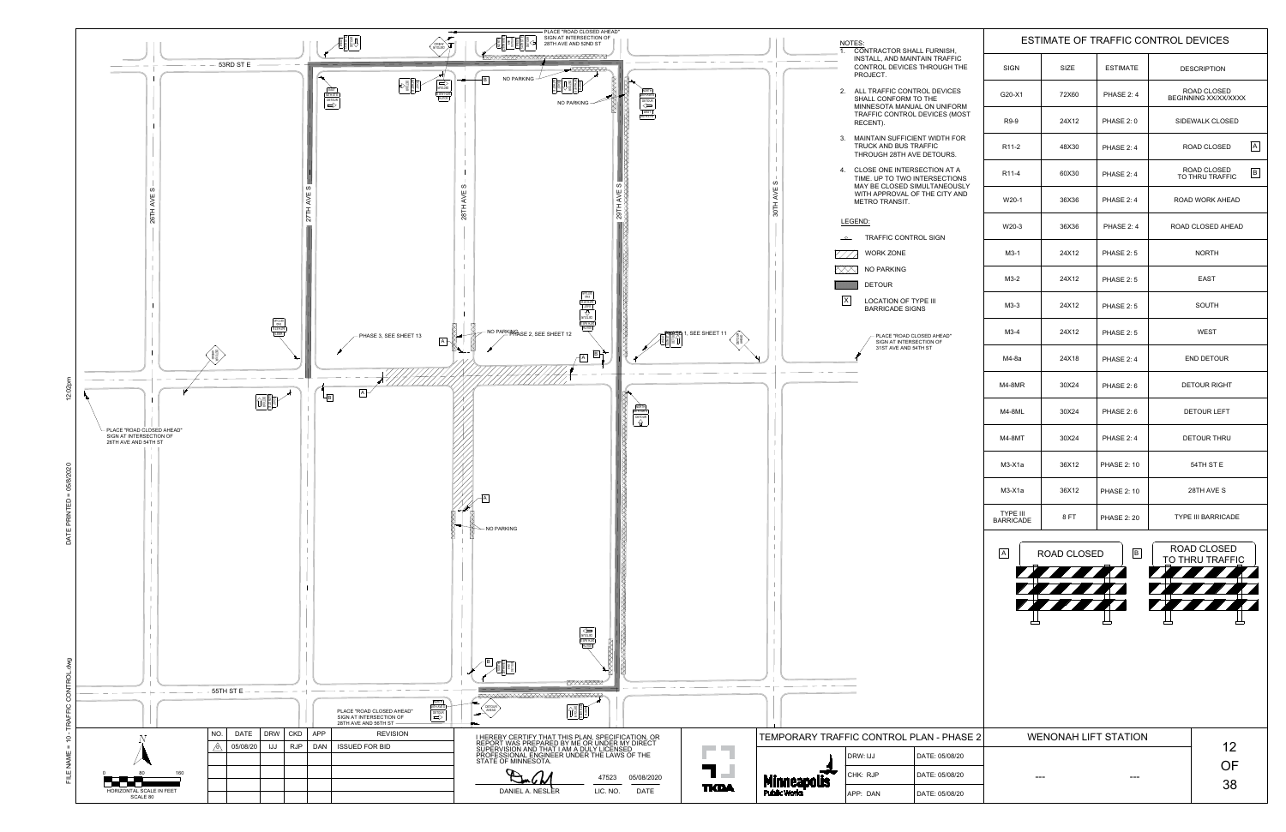

| SH,                            | ESTIMATE OF TRAFFIC CONTROL DEVICES |                             |                    |                                            |                                       |              |
|--------------------------------|-------------------------------------|-----------------------------|--------------------|--------------------------------------------|---------------------------------------|--------------|
| <b>FFIC</b><br><b>SH THE</b>   | <b>SIGN</b>                         | <b>SIZE</b>                 | <b>ESTIMATE</b>    |                                            | <b>DESCRIPTION</b>                    |              |
| <b>ICES</b>                    | G20-X1                              | 72X60                       | PHASE 2:4          | <b>ROAD CLOSED</b><br>BEGINNING XX/XX/XXXX |                                       |              |
| <b>IFORM</b><br>S(MOST)        | R9-9                                | 24X12                       | <b>PHASE 2:0</b>   | <b>SIDEWALK CLOSED</b>                     |                                       |              |
| H FOR<br>RS.                   | R <sub>11</sub> -2                  | 48X30                       | PHASE 2:4          | <b>ROAD CLOSED</b>                         |                                       | $\mathsf{A}$ |
| AT A<br><b>TIONS</b>           | R <sub>11</sub> -4                  | 60X30                       | PHASE 2:4          |                                            | ROAD CLOSED<br>TO THRU TRAFFIC        | $\sf B$      |
| <b>EOUSLY</b><br><b>TY AND</b> | W20-1                               | 36X36                       | PHASE 2:4          | <b>ROAD WORK AHEAD</b>                     |                                       |              |
|                                | W20-3                               | 36X36                       | PHASE 2:4          |                                            | ROAD CLOSED AHEAD                     |              |
|                                | $M3-1$                              | 24X12                       | <b>PHASE 2:5</b>   |                                            | <b>NORTH</b>                          |              |
|                                | $M3-2$                              | 24X12                       | <b>PHASE 2:5</b>   |                                            | <b>EAST</b>                           |              |
|                                | $M3-3$                              | 24X12                       | <b>PHASE 2:5</b>   |                                            | <b>SOUTH</b>                          |              |
| D"                             | $M3-4$                              | 24X12                       | <b>PHASE 2:5</b>   |                                            | <b>WEST</b>                           |              |
|                                | $M4-8a$                             | 24X18                       | <b>PHASE 2:4</b>   |                                            | <b>END DETOUR</b>                     |              |
|                                | $M4-8MR$                            | 30X24                       | <b>PHASE 2:6</b>   |                                            | <b>DETOUR RIGHT</b>                   |              |
|                                | M4-8ML                              | 30X24                       | <b>PHASE 2:6</b>   |                                            | <b>DETOUR LEFT</b>                    |              |
|                                | <b>M4-8MT</b>                       | 30X24                       | PHASE 2:4          |                                            | <b>DETOUR THRU</b>                    |              |
|                                | $M3-X1a$                            | 36X12                       | <b>PHASE 2: 10</b> |                                            | 54TH ST E                             |              |
|                                | $M3-X1a$                            | 36X12                       | <b>PHASE 2: 10</b> | 28TH AVE S<br><b>TYPE III BARRICADE</b>    |                                       |              |
|                                | <b>TYPE III</b><br><b>BARRICADE</b> | 8FT                         | <b>PHASE 2: 20</b> |                                            |                                       |              |
|                                | $\mathsf{A}$                        | <b>ROAD CLOSED</b>          | B                  |                                            | <b>ROAD CLOSED</b><br>TO THRU TRAFFIC |              |
|                                |                                     |                             |                    |                                            |                                       |              |
| PHASE 2                        |                                     | <b>WENONAH LIFT STATION</b> |                    |                                            | 12                                    |              |
| /08/20<br>/08/20               |                                     |                             |                    |                                            | OF                                    |              |
| /08/20                         |                                     |                             |                    |                                            | 38                                    |              |
|                                |                                     |                             |                    |                                            |                                       |              |